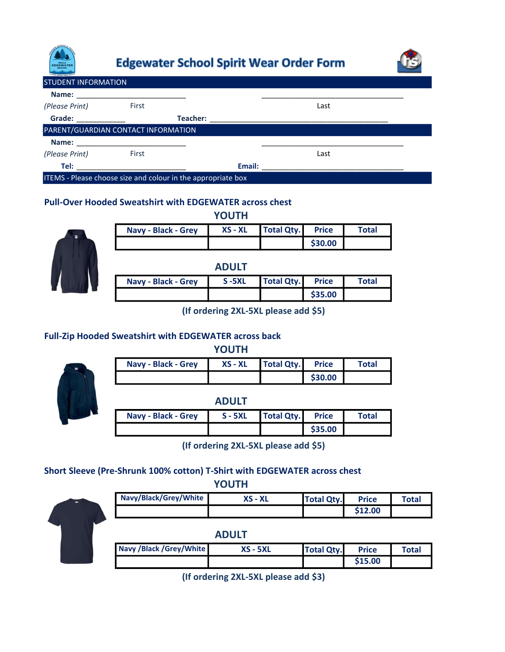

# **Edgewater School Spirit Wear Order Form**



| <b>STUDENT INFORMATION</b>                                   |       |          |        |      |  |
|--------------------------------------------------------------|-------|----------|--------|------|--|
| Name:                                                        |       |          |        |      |  |
| (Please Print)                                               | First |          |        | Last |  |
| Grade: _____________                                         |       | Teacher: |        |      |  |
| PARENT/GUARDIAN CONTACT INFORMATION                          |       |          |        |      |  |
|                                                              |       |          |        |      |  |
| (Please Print)                                               | First |          |        | Last |  |
| Tel:                                                         |       |          | Email: |      |  |
| ITEMS - Please choose size and colour in the appropriate box |       |          |        |      |  |

YOUTH

### Pull-Over Hooded Sweatshirt with EDGEWATER across chest



| <b>Navy - Black - Grey</b> | $XS - XL$    | <b>Total Qty.</b> | <b>Price</b> | <b>Total</b> |
|----------------------------|--------------|-------------------|--------------|--------------|
|                            |              |                   | \$30.00      |              |
|                            | <b>ADULT</b> |                   |              |              |
| <b>Navy - Black - Grey</b> | $S - 5XL$    | <b>Total Qty.</b> | <b>Price</b> | <b>Total</b> |
|                            |              |                   | \$35.00      |              |

(If ordering 2XL-5XL please add \$5)

## Full-Zip Hooded Sweatshirt with EDGEWATER across back

YOUTH

| <b>Navy - Black - Grey</b> | XS - XL | <b>Total Qty.</b> | <b>Price</b> | Total |
|----------------------------|---------|-------------------|--------------|-------|
|                            |         |                   | \$30.00      |       |

ADULT

| <b>Navy - Black - Grey</b> | $S - 5XL$ | <b>Total Qty.</b> | <b>Price</b> | Total |
|----------------------------|-----------|-------------------|--------------|-------|
|                            |           |                   | \$35.00      |       |

(If ordering 2XL-5XL please add \$5)

# Short Sleeve (Pre-Shrunk 100% cotton) T-Shirt with EDGEWATER across chest

YOUTH



| Navy/Black/Grey/White | $XS - XL$ | <b>Total Qty.</b> | <b>Price</b> | Total |
|-----------------------|-----------|-------------------|--------------|-------|
|                       |           |                   | \$12.00      |       |
|                       |           |                   |              |       |

#### ADULT

| Navy /Black /Grey/White | <b>XS - 5XL</b> | <b>Total Qty.</b> | <b>Price</b> | Total |
|-------------------------|-----------------|-------------------|--------------|-------|
|                         |                 |                   | \$15.00      |       |

(If ordering 2XL-5XL please add \$3)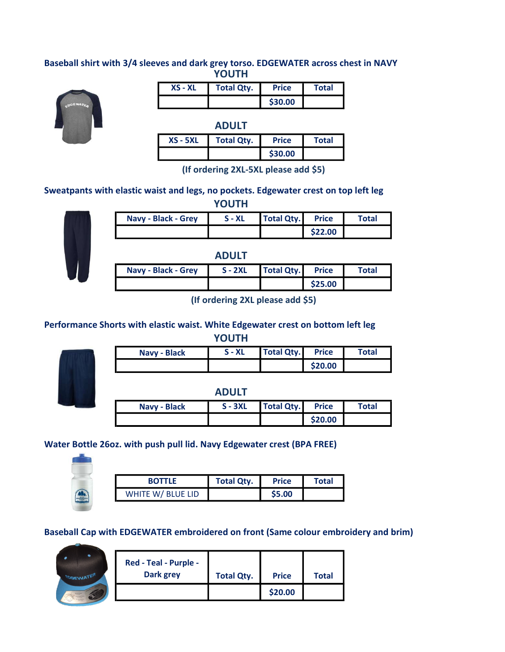#### Baseball shirt with 3/4 sleeves and dark grey torso. EDGEWATER across chest in NAVY **YOUTH**



| $XS - XL$ | <b>Total Qty.</b> | <b>Price</b> | <b>Total</b> |
|-----------|-------------------|--------------|--------------|
|           |                   | \$30.00      |              |

|            | <b>ADULT</b>      |              |              |
|------------|-------------------|--------------|--------------|
| $XS - 5XL$ | <b>Total Qty.</b> | <b>Price</b> | <b>Total</b> |
|            |                   | \$30.00      |              |

(If ordering 2XL-5XL please add \$5)

Sweatpants with elastic waist and legs, no pockets. Edgewater crest on top left leg



| <b>Navy - Black - Grey</b> | $S - XL$     | <b>Total Qty.</b> | <b>Price</b> | <b>Total</b> |
|----------------------------|--------------|-------------------|--------------|--------------|
|                            |              |                   | \$22.00      |              |
|                            |              |                   |              |              |
|                            |              |                   |              |              |
|                            | <b>ADULT</b> |                   |              |              |

(If ordering 2XL please add \$5)

\$25.00

# Performance Shorts with elastic waist. White Edgewater crest on bottom left leg

**YOUTH** 

| Navy - Bla |
|------------|
|            |
|            |
|            |
|            |

| Navy - Black | $S - XL$ | <b>Total Qty.</b> | <b>Price</b> | Total |
|--------------|----------|-------------------|--------------|-------|
|              |          |                   | \$20.00      |       |
|              |          |                   |              |       |

ADULT

| Navy - Black | $S - 3XL$ | <b>Total Qty.</b> | <b>Price</b> | Total |
|--------------|-----------|-------------------|--------------|-------|
|              |           |                   | \$20.00      |       |

# Water Bottle 26oz. with push pull lid. Navy Edgewater crest (BPA FREE)



| <b>BOTTLF</b>     | <b>Total Qty.</b> | <b>Price</b> | <b>Total</b> |
|-------------------|-------------------|--------------|--------------|
| WHITE W/ BLUE LID |                   | \$5.00       |              |

Baseball Cap with EDGEWATER embroidered on front (Same colour embroidery and brim)



| Red - Teal - Purple - |                   |              |              |
|-----------------------|-------------------|--------------|--------------|
| <b>Dark grey</b>      | <b>Total Qty.</b> | <b>Price</b> | <b>Total</b> |
|                       |                   | \$20.00      |              |

YOUTH